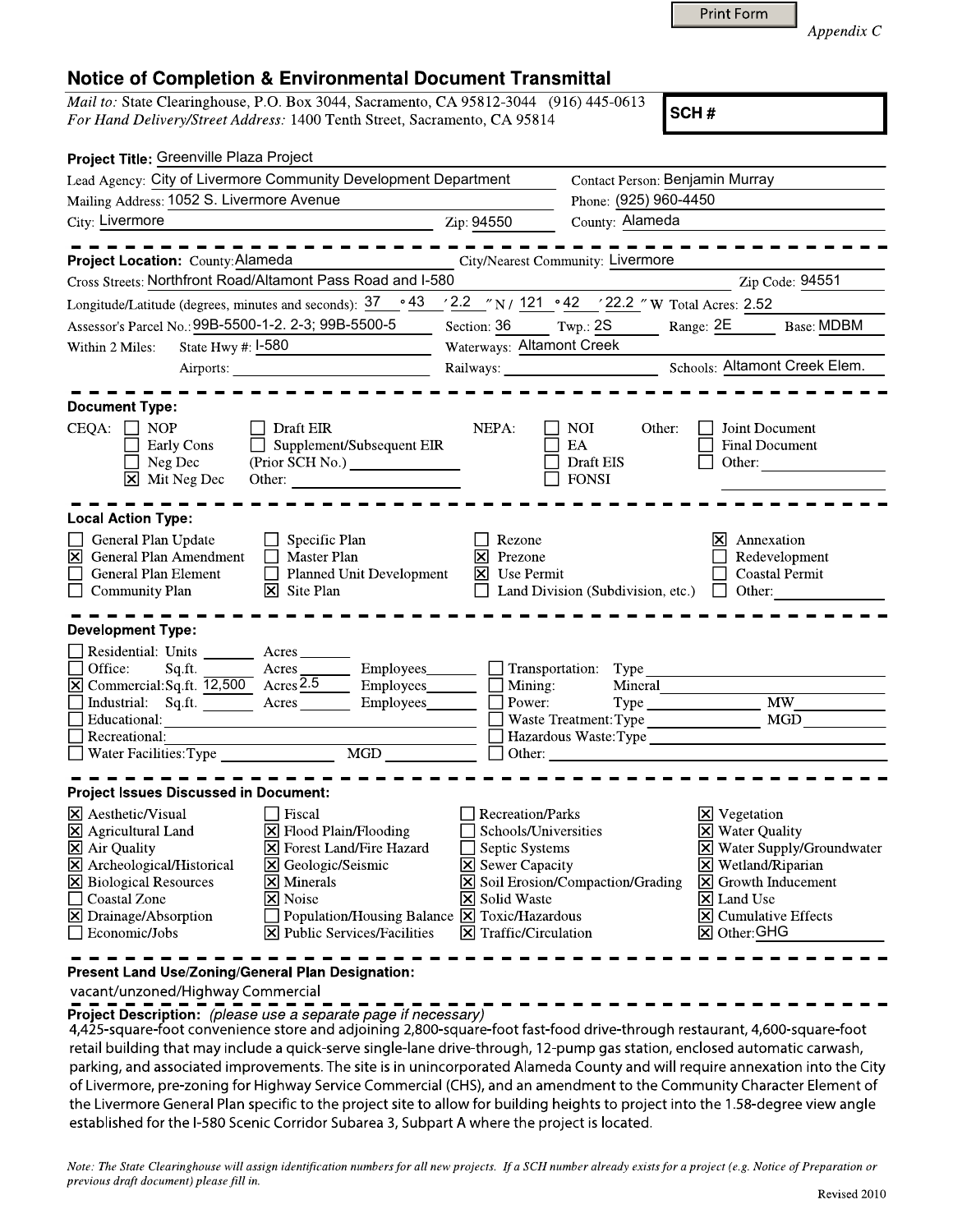| <b>Print Form</b> |
|-------------------|
|-------------------|

*Appendix C*

## Notice of Completion & Environmental Document Transmittal

*Mail to:* State Clearinghouse, P.O. Box 3044, Sacramento, CA 95812-3044 (916) 445-0613 *For Hand Delivery/Street Address:* 1400 Tenth Street, Sacramento, CA 95814

SCH#

| Project Title: Greenville Plaza Project                                                                                                        |                                                                                                                                                                                                                                |                                                       |                                          |                                                                     |
|------------------------------------------------------------------------------------------------------------------------------------------------|--------------------------------------------------------------------------------------------------------------------------------------------------------------------------------------------------------------------------------|-------------------------------------------------------|------------------------------------------|---------------------------------------------------------------------|
| Lead Agency: City of Livermore Community Development Department                                                                                |                                                                                                                                                                                                                                | Contact Person: Benjamin Murray                       |                                          |                                                                     |
| Mailing Address: 1052 S. Livermore Avenue                                                                                                      |                                                                                                                                                                                                                                |                                                       | Phone: (925) 960-4450                    |                                                                     |
| City: Livermore                                                                                                                                |                                                                                                                                                                                                                                | Zip: 94550                                            | County: Alameda                          |                                                                     |
|                                                                                                                                                |                                                                                                                                                                                                                                |                                                       | City/Nearest Community: Livermore        |                                                                     |
| Project Location: County: Alameda<br>Cross Streets: Northfront Road/Altamont Pass Road and I-580                                               |                                                                                                                                                                                                                                |                                                       |                                          | Zip Code: 94551                                                     |
| Longitude/Latitude (degrees, minutes and seconds): $37 \cdot 943 \cdot 2.2 \cdot 7$ N / $121 \cdot 942 \cdot 22.2 \cdot 7$ W Total Acres: 2.52 |                                                                                                                                                                                                                                |                                                       |                                          |                                                                     |
| Assessor's Parcel No.: 99B-5500-1-2. 2-3; 99B-5500-5                                                                                           |                                                                                                                                                                                                                                | Section: 36                                           | Twp.: $2S$                               | Range: 2E<br><b>Base: MDBM</b>                                      |
| State Hwy $\#$ : $I$ -580<br>Within 2 Miles:                                                                                                   |                                                                                                                                                                                                                                | Waterways: Altamont Creek                             |                                          |                                                                     |
|                                                                                                                                                | Airports:                                                                                                                                                                                                                      | Railways:                                             |                                          | Schools: Altamont Creek Elem.                                       |
|                                                                                                                                                |                                                                                                                                                                                                                                |                                                       |                                          |                                                                     |
| <b>Document Type:</b>                                                                                                                          |                                                                                                                                                                                                                                |                                                       |                                          |                                                                     |
| $CEQA: \Box NP$                                                                                                                                | Draft EIR                                                                                                                                                                                                                      | NEPA:                                                 | $\Box$ NOI<br>Other:                     | $\Box$ Joint Document                                               |
| $\Box$ Supplement/Subsequent EIR<br><b>Early Cons</b><br>Neg Dec                                                                               |                                                                                                                                                                                                                                |                                                       | $\Box$ EA<br>$\Box$ Draft EIS            | <b>Final Document</b><br>Other:                                     |
| $\boxtimes$ Mit Neg Dec                                                                                                                        | Other: The Company of the Company of the Company of the Company of the Company of the Company of the Company of the Company of the Company of the Company of the Company of the Company of the Company of the Company of the C |                                                       | <b>FONSI</b>                             |                                                                     |
|                                                                                                                                                |                                                                                                                                                                                                                                |                                                       |                                          |                                                                     |
| <b>Local Action Type:</b>                                                                                                                      |                                                                                                                                                                                                                                |                                                       |                                          |                                                                     |
| General Plan Update<br>S General Plan Amendment                                                                                                | $\Box$ Specific Plan<br>$\Box$ Master Plan                                                                                                                                                                                     | Rezone<br>$\boxtimes$<br>Prezone                      |                                          | $\times$ Annexation                                                 |
| $\Box$<br><b>General Plan Element</b>                                                                                                          | Planned Unit Development                                                                                                                                                                                                       | $\boxtimes$ Use Permit                                |                                          | Redevelopment<br><b>Coastal Permit</b>                              |
| $\Box$ Community Plan                                                                                                                          | $\boxtimes$ Site Plan                                                                                                                                                                                                          |                                                       | $\Box$ Land Division (Subdivision, etc.) | $\Box$ Other:                                                       |
|                                                                                                                                                |                                                                                                                                                                                                                                |                                                       |                                          |                                                                     |
| <b>Development Type:</b>                                                                                                                       |                                                                                                                                                                                                                                |                                                       |                                          |                                                                     |
| Residential: Units<br>$\Box$ Office:<br>Sq.ft.                                                                                                 | Acres_<br>Employees_<br>Acres                                                                                                                                                                                                  |                                                       | $\Box$ Transportation: Type              |                                                                     |
| $\boxtimes$ Commercial: Sq.ft. $\overline{12,500}$ Acres 2.5                                                                                   | Employees______                                                                                                                                                                                                                | $\Box$ Mining:                                        | Mineral                                  |                                                                     |
| Industrial: Sq.ft. Acres                                                                                                                       | Employees______                                                                                                                                                                                                                | $\Box$ Power:                                         |                                          | Type MW_                                                            |
| Educational:                                                                                                                                   |                                                                                                                                                                                                                                |                                                       |                                          |                                                                     |
| Recreational:<br>Water Facilities: Type                                                                                                        | <b>MGD</b>                                                                                                                                                                                                                     | $\Box$ Other:                                         |                                          |                                                                     |
|                                                                                                                                                |                                                                                                                                                                                                                                |                                                       |                                          |                                                                     |
| <b>Project Issues Discussed in Document:</b>                                                                                                   |                                                                                                                                                                                                                                |                                                       |                                          |                                                                     |
| X Aesthetic/Visual                                                                                                                             | $\Box$ Fiscal                                                                                                                                                                                                                  | $\Box$ Recreation/Parks                               |                                          | $\triangleright$ Vegetation                                         |
| <b>X</b> Agricultural Land                                                                                                                     | X Flood Plain/Flooding                                                                                                                                                                                                         | Schools/Universities                                  |                                          | $\boxtimes$ Water Quality                                           |
| $\boxtimes$ Air Quality                                                                                                                        | $\boxed{\mathsf{X}}$ Forest Land/Fire Hazard<br><b>X</b> Geologic/Seismic                                                                                                                                                      | $\Box$ Septic Systems                                 |                                          | X Water Supply/Groundwater                                          |
| X Archeological/Historical<br><b>X</b> Biological Resources                                                                                    | $\overline{\mathsf{x}}$ Minerals                                                                                                                                                                                               | <b>X</b> Sewer Capacity                               | Soil Erosion/Compaction/Grading          | $\times$ Wetland/Riparian<br>$\boxed{\mathsf{x}}$ Growth Inducement |
| □ Coastal Zone                                                                                                                                 | X Noise                                                                                                                                                                                                                        | <b>X</b> Solid Waste                                  |                                          | $\overline{\mathsf{x}}$ Land Use                                    |
| X Drainage/Absorption                                                                                                                          | Population/Housing Balance $\boxed{\mathbf{X}}$ Toxic/Hazardous                                                                                                                                                                |                                                       |                                          | $\boxtimes$ Cumulative Effects                                      |
| $\Box$ Economic/Jobs                                                                                                                           | <b>Public Services/Facilities</b><br>Ixl                                                                                                                                                                                       | $\vert\overline{\mathsf{x}}\vert$ Traffic/Circulation |                                          | <b>×</b> Other: GHG                                                 |
|                                                                                                                                                |                                                                                                                                                                                                                                |                                                       |                                          |                                                                     |

**Present Land Use/Zoning/General Plan Designation:**

vacant/unzoned/Highway Commercial

**Project Description:** *(please use a separate page if necessary)*

4,425-square-foot convenience store and adjoining 2,800-square-foot fast-food drive-through restaurant, 4,600-square-foot retail building that may include a quick-serve single-lane drive-through, 12-pump gas station, enclosed automatic carwash, parking, and associated improvements. The site is in unincorporated Alameda County and will require annexation into the City of Livermore, pre-zoning for Highway Service Commercial (CHS), and an amendment to the Community Character Element of the Livermore General Plan specific to the project site to allow for building heights to project into the 1.58-degree view angle established for the I-580 Scenic Corridor Subarea 3, Subpart A where the project is located.

*Note: The State Clearinghouse will assign identification numbers for all new projects. If a SCH number already exists for a project (e.g. Notice of Preparation or previous draft document) please fill in.*